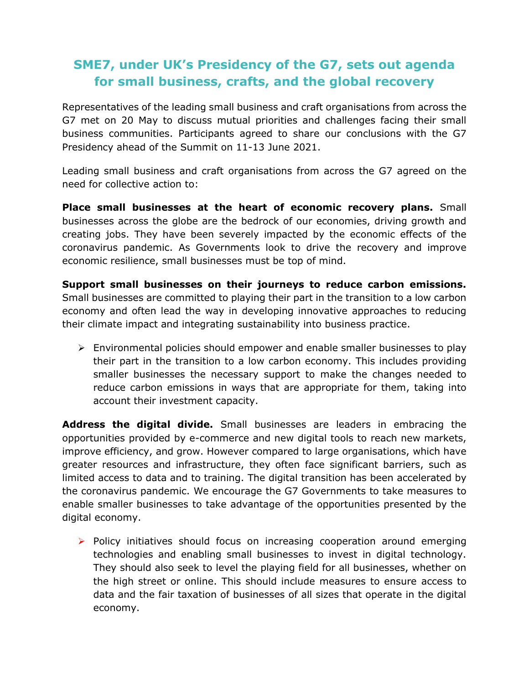## **SME7, under UK's Presidency of the G7, sets out agenda for small business, crafts, and the global recovery**

Representatives of the leading small business and craft organisations from across the G7 met on 20 May to discuss mutual priorities and challenges facing their small business communities. Participants agreed to share our conclusions with the G7 Presidency ahead of the Summit on 11-13 June 2021.

Leading small business and craft organisations from across the G7 agreed on the need for collective action to:

**Place small businesses at the heart of economic recovery plans.** Small businesses across the globe are the bedrock of our economies, driving growth and creating jobs. They have been severely impacted by the economic effects of the coronavirus pandemic. As Governments look to drive the recovery and improve economic resilience, small businesses must be top of mind.

**Support small businesses on their journeys to reduce carbon emissions.**  Small businesses are committed to playing their part in the transition to a low carbon economy and often lead the way in developing innovative approaches to reducing their climate impact and integrating sustainability into business practice.

 $\triangleright$  Environmental policies should empower and enable smaller businesses to play their part in the transition to a low carbon economy. This includes providing smaller businesses the necessary support to make the changes needed to reduce carbon emissions in ways that are appropriate for them, taking into account their investment capacity.

**Address the digital divide.** Small businesses are leaders in embracing the opportunities provided by e-commerce and new digital tools to reach new markets, improve efficiency, and grow. However compared to large organisations, which have greater resources and infrastructure, they often face significant barriers, such as limited access to data and to training. The digital transition has been accelerated by the coronavirus pandemic. We encourage the G7 Governments to take measures to enable smaller businesses to take advantage of the opportunities presented by the digital economy.

➢ Policy initiatives should focus on increasing cooperation around emerging technologies and enabling small businesses to invest in digital technology. They should also seek to level the playing field for all businesses, whether on the high street or online. This should include measures to ensure access to data and the fair taxation of businesses of all sizes that operate in the digital economy.